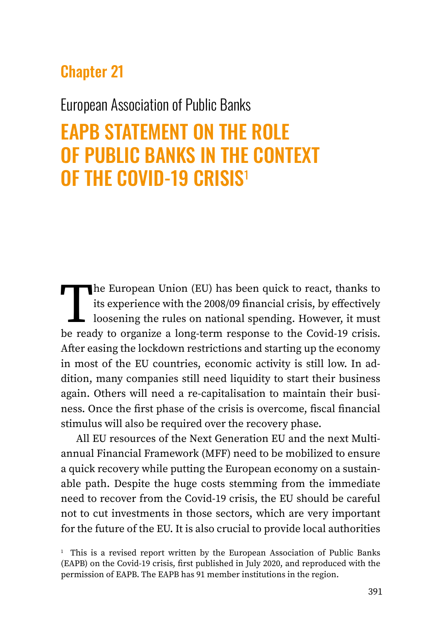# Chapter 21

## European Association of Public Banks

# EAPB STATEMENT ON THE ROLE OF PUBLIC BANKS IN THE CONTEXT OF THE COVID-19 CRISIS<sup>1</sup>

The European Union (EU) has been quick to react, thanks to<br>its experience with the 2008/09 financial crisis, by effectively<br>loosening the rules on national spending. However, it must<br>be ready to organize a long-term respon its experience with the 2008/09 financial crisis, by effectively loosening the rules on national spending. However, it must be ready to organize a long-term response to the Covid-19 crisis. After easing the lockdown restrictions and starting up the economy in most of the EU countries, economic activity is still low. In addition, many companies still need liquidity to start their business again. Others will need a re-capitalisation to maintain their business. Once the first phase of the crisis is overcome, fiscal financial stimulus will also be required over the recovery phase.

All EU resources of the Next Generation EU and the next Multiannual Financial Framework (MFF) need to be mobilized to ensure a quick recovery while putting the European economy on a sustainable path. Despite the huge costs stemming from the immediate need to recover from the Covid-19 crisis, the EU should be careful not to cut investments in those sectors, which are very important for the future of the EU. It is also crucial to provide local authorities

<sup>&</sup>lt;sup>1</sup> This is a revised report written by the European Association of Public Banks (EAPB) on the Covid-19 crisis, first published in July 2020, and reproduced with the permission of EAPB. The EAPB has 91 member institutions in the region.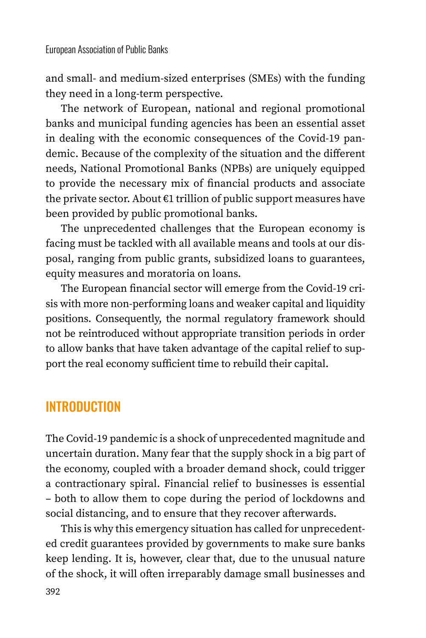and small- and medium-sized enterprises (SMEs) with the funding they need in a long-term perspective.

The network of European, national and regional promotional banks and municipal funding agencies has been an essential asset in dealing with the economic consequences of the Covid-19 pandemic. Because of the complexity of the situation and the different needs, National Promotional Banks (NPBs) are uniquely equipped to provide the necessary mix of financial products and associate the private sector. About €1 trillion of public support measures have been provided by public promotional banks.

The unprecedented challenges that the European economy is facing must be tackled with all available means and tools at our disposal, ranging from public grants, subsidized loans to guarantees, equity measures and moratoria on loans.

The European financial sector will emerge from the Covid-19 crisis with more non-performing loans and weaker capital and liquidity positions. Consequently, the normal regulatory framework should not be reintroduced without appropriate transition periods in order to allow banks that have taken advantage of the capital relief to support the real economy sufficient time to rebuild their capital.

## INTRODUCTION

The Covid-19 pandemic is a shock of unprecedented magnitude and uncertain duration. Many fear that the supply shock in a big part of the economy, coupled with a broader demand shock, could trigger a contractionary spiral. Financial relief to businesses is essential – both to allow them to cope during the period of lockdowns and social distancing, and to ensure that they recover afterwards.

This is why this emergency situation has called for unprecedented credit guarantees provided by governments to make sure banks keep lending. It is, however, clear that, due to the unusual nature of the shock, it will often irreparably damage small businesses and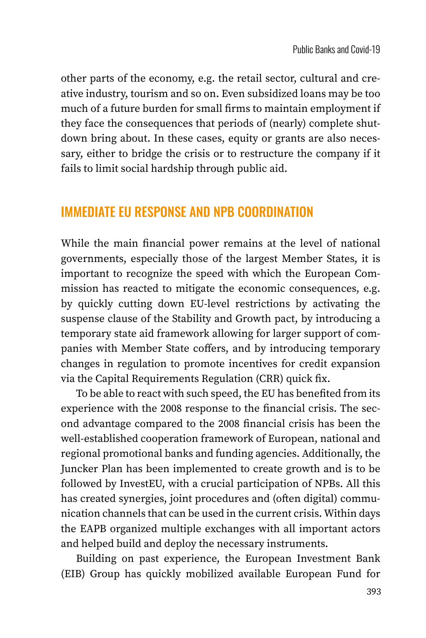other parts of the economy, e.g. the retail sector, cultural and creative industry, tourism and so on. Even subsidized loans may be too much of a future burden for small firms to maintain employment if they face the consequences that periods of (nearly) complete shutdown bring about. In these cases, equity or grants are also necessary, either to bridge the crisis or to restructure the company if it fails to limit social hardship through public aid.

### IMMEDIATE EU RESPONSE AND NPB COORDINATION

While the main financial power remains at the level of national governments, especially those of the largest Member States, it is important to recognize the speed with which the European Commission has reacted to mitigate the economic consequences, e.g. by quickly cutting down EU-level restrictions by activating the suspense clause of the Stability and Growth pact, by introducing a temporary state aid framework allowing for larger support of companies with Member State coffers, and by introducing temporary changes in regulation to promote incentives for credit expansion via the Capital Requirements Regulation (CRR) quick fix.

To be able to react with such speed, the EU has benefited from its experience with the 2008 response to the financial crisis. The second advantage compared to the 2008 financial crisis has been the well-established cooperation framework of European, national and regional promotional banks and funding agencies. Additionally, the Juncker Plan has been implemented to create growth and is to be followed by InvestEU, with a crucial participation of NPBs. All this has created synergies, joint procedures and (often digital) communication channels that can be used in the current crisis. Within days the EAPB organized multiple exchanges with all important actors and helped build and deploy the necessary instruments.

Building on past experience, the European Investment Bank (EIB) Group has quickly mobilized available European Fund for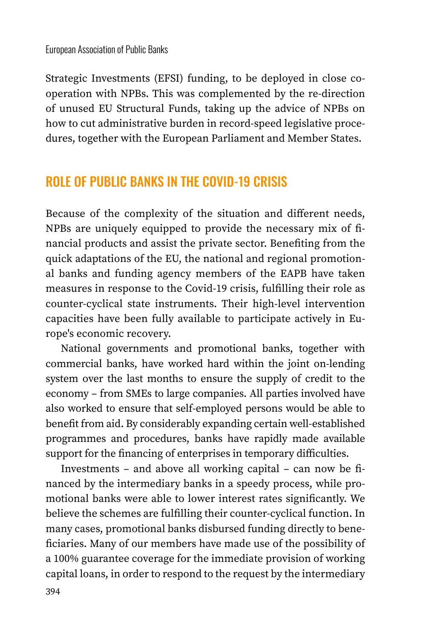Strategic Investments (EFSI) funding, to be deployed in close cooperation with NPBs. This was complemented by the re-direction of unused EU Structural Funds, taking up the advice of NPBs on how to cut administrative burden in record-speed legislative procedures, together with the European Parliament and Member States.

### ROLE OF PUBLIC BANKS IN THE COVID-19 CRISIS

Because of the complexity of the situation and different needs, NPBs are uniquely equipped to provide the necessary mix of financial products and assist the private sector. Benefiting from the quick adaptations of the EU, the national and regional promotional banks and funding agency members of the EAPB have taken measures in response to the Covid-19 crisis, fulfilling their role as counter-cyclical state instruments. Their high-level intervention capacities have been fully available to participate actively in Europe's economic recovery.

National governments and promotional banks, together with commercial banks, have worked hard within the joint on-lending system over the last months to ensure the supply of credit to the economy – from SMEs to large companies. All parties involved have also worked to ensure that self-employed persons would be able to benefit from aid. By considerably expanding certain well-established programmes and procedures, banks have rapidly made available support for the financing of enterprises in temporary difficulties.

Investments – and above all working capital – can now be financed by the intermediary banks in a speedy process, while promotional banks were able to lower interest rates significantly. We believe the schemes are fulfilling their counter-cyclical function. In many cases, promotional banks disbursed funding directly to beneficiaries. Many of our members have made use of the possibility of a 100% guarantee coverage for the immediate provision of working capital loans, in order to respond to the request by the intermediary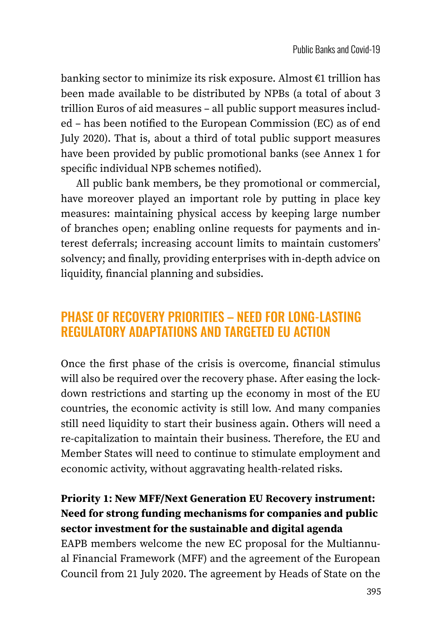banking sector to minimize its risk exposure. Almost €1 trillion has been made available to be distributed by NPBs (a total of about 3 trillion Euros of aid measures – all public support measures included – has been notified to the European Commission (EC) as of end July 2020). That is, about a third of total public support measures have been provided by public promotional banks (see Annex 1 for specific individual NPB schemes notified).

All public bank members, be they promotional or commercial, have moreover played an important role by putting in place key measures: maintaining physical access by keeping large number of branches open; enabling online requests for payments and interest deferrals; increasing account limits to maintain customers' solvency; and finally, providing enterprises with in-depth advice on liquidity, financial planning and subsidies.

### PHASE OF RECOVERY PRIORITIES – NEED FOR LONG-LASTING REGULATORY ADAPTATIONS AND TARGETED EU ACTION

Once the first phase of the crisis is overcome, financial stimulus will also be required over the recovery phase. After easing the lockdown restrictions and starting up the economy in most of the EU countries, the economic activity is still low. And many companies still need liquidity to start their business again. Others will need a re-capitalization to maintain their business. Therefore, the EU and Member States will need to continue to stimulate employment and economic activity, without aggravating health-related risks.

### **Priority 1: New MFF/Next Generation EU Recovery instrument: Need for strong funding mechanisms for companies and public sector investment for the sustainable and digital agenda**

EAPB members welcome the new EC proposal for the Multiannual Financial Framework (MFF) and the agreement of the European Council from 21 July 2020. The agreement by Heads of State on the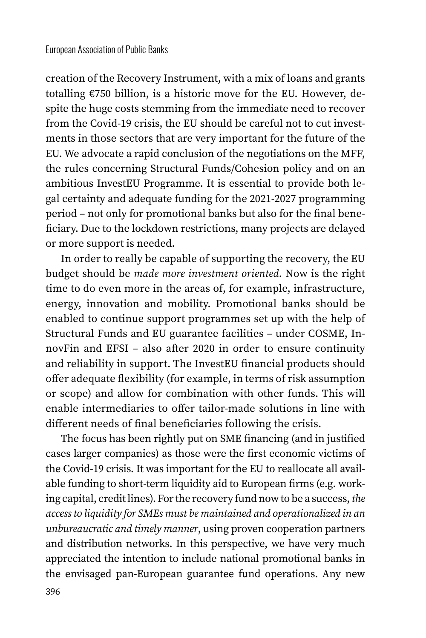creation of the Recovery Instrument, with a mix of loans and grants totalling €750 billion, is a historic move for the EU. However, despite the huge costs stemming from the immediate need to recover from the Covid-19 crisis, the EU should be careful not to cut investments in those sectors that are very important for the future of the EU. We advocate a rapid conclusion of the negotiations on the MFF, the rules concerning Structural Funds/Cohesion policy and on an ambitious InvestEU Programme. It is essential to provide both legal certainty and adequate funding for the 2021-2027 programming period – not only for promotional banks but also for the final beneficiary. Due to the lockdown restrictions, many projects are delayed or more support is needed.

In order to really be capable of supporting the recovery, the EU budget should be *made more investment oriented*. Now is the right time to do even more in the areas of, for example, infrastructure, energy, innovation and mobility. Promotional banks should be enabled to continue support programmes set up with the help of Structural Funds and EU guarantee facilities – under COSME, InnovFin and EFSI – also after 2020 in order to ensure continuity and reliability in support. The InvestEU financial products should offer adequate flexibility (for example, in terms of risk assumption or scope) and allow for combination with other funds. This will enable intermediaries to offer tailor-made solutions in line with different needs of final beneficiaries following the crisis.

The focus has been rightly put on SME financing (and in justified cases larger companies) as those were the first economic victims of the Covid-19 crisis. It was important for the EU to reallocate all available funding to short-term liquidity aid to European firms (e.g. working capital, credit lines). For the recovery fund now to be a success, *the access to liquidity for SMEs must be maintained and operationalized in an unbureaucratic and timely manner*, using proven cooperation partners and distribution networks. In this perspective, we have very much appreciated the intention to include national promotional banks in the envisaged pan-European guarantee fund operations. Any new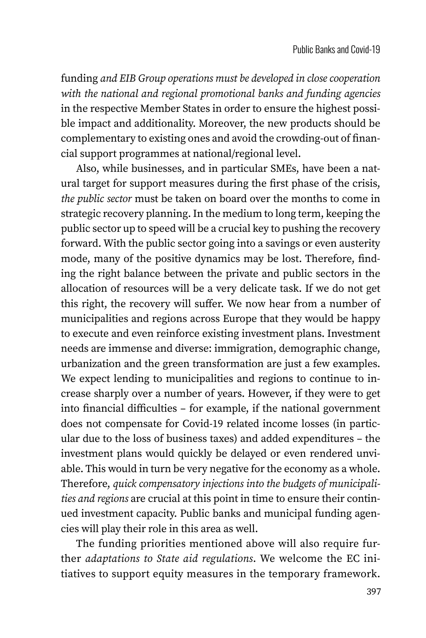funding *and EIB Group operations must be developed in close cooperation with the national and regional promotional banks and funding agencies* in the respective Member States in order to ensure the highest possible impact and additionality. Moreover, the new products should be complementary to existing ones and avoid the crowding-out of financial support programmes at national/regional level.

Also, while businesses, and in particular SMEs, have been a natural target for support measures during the first phase of the crisis, *the public sector* must be taken on board over the months to come in strategic recovery planning. In the medium to long term, keeping the public sector up to speed will be a crucial key to pushing the recovery forward. With the public sector going into a savings or even austerity mode, many of the positive dynamics may be lost. Therefore, finding the right balance between the private and public sectors in the allocation of resources will be a very delicate task. If we do not get this right, the recovery will suffer. We now hear from a number of municipalities and regions across Europe that they would be happy to execute and even reinforce existing investment plans. Investment needs are immense and diverse: immigration, demographic change, urbanization and the green transformation are just a few examples. We expect lending to municipalities and regions to continue to increase sharply over a number of years. However, if they were to get into financial difficulties – for example, if the national government does not compensate for Covid-19 related income losses (in particular due to the loss of business taxes) and added expenditures – the investment plans would quickly be delayed or even rendered unviable. This would in turn be very negative for the economy as a whole. Therefore, *quick compensatory injections into the budgets of municipalities and regions* are crucial at this point in time to ensure their continued investment capacity. Public banks and municipal funding agencies will play their role in this area as well.

The funding priorities mentioned above will also require further *adaptations to State aid regulations*. We welcome the EC initiatives to support equity measures in the temporary framework.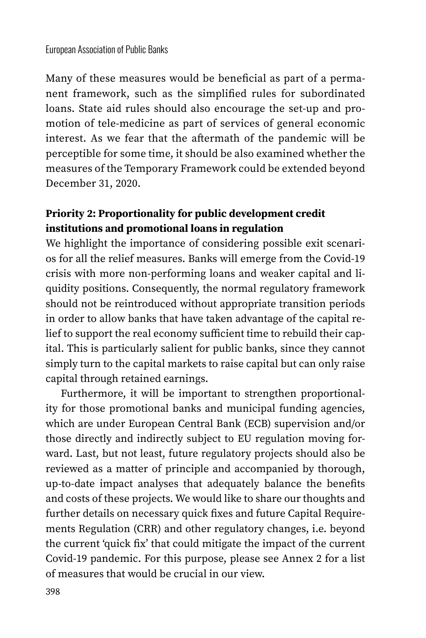#### European Association of Public Banks

Many of these measures would be beneficial as part of a permanent framework, such as the simplified rules for subordinated loans. State aid rules should also encourage the set-up and promotion of tele-medicine as part of services of general economic interest. As we fear that the aftermath of the pandemic will be perceptible for some time, it should be also examined whether the measures of the Temporary Framework could be extended beyond December 31, 2020.

### **Priority 2: Proportionality for public development credit institutions and promotional loans in regulation**

We highlight the importance of considering possible exit scenarios for all the relief measures. Banks will emerge from the Covid-19 crisis with more non-performing loans and weaker capital and liquidity positions. Consequently, the normal regulatory framework should not be reintroduced without appropriate transition periods in order to allow banks that have taken advantage of the capital relief to support the real economy sufficient time to rebuild their capital. This is particularly salient for public banks, since they cannot simply turn to the capital markets to raise capital but can only raise capital through retained earnings.

Furthermore, it will be important to strengthen proportionality for those promotional banks and municipal funding agencies, which are under European Central Bank (ECB) supervision and/or those directly and indirectly subject to EU regulation moving forward. Last, but not least, future regulatory projects should also be reviewed as a matter of principle and accompanied by thorough, up-to-date impact analyses that adequately balance the benefits and costs of these projects. We would like to share our thoughts and further details on necessary quick fixes and future Capital Requirements Regulation (CRR) and other regulatory changes, i.e. beyond the current 'quick fix' that could mitigate the impact of the current Covid-19 pandemic. For this purpose, please see Annex 2 for a list of measures that would be crucial in our view.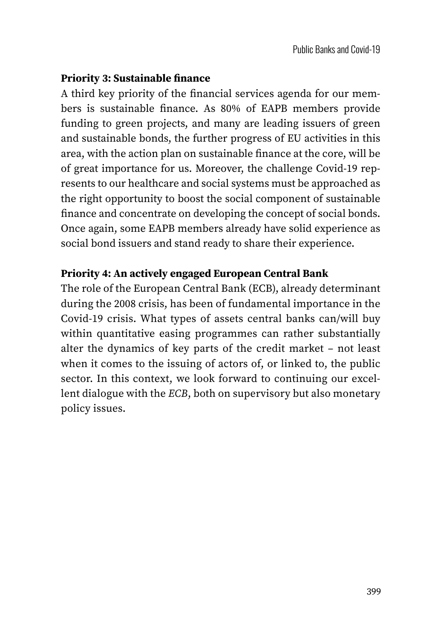#### **Priority 3: Sustainable finance**

A third key priority of the financial services agenda for our members is sustainable finance. As 80% of EAPB members provide funding to green projects, and many are leading issuers of green and sustainable bonds, the further progress of EU activities in this area, with the action plan on sustainable finance at the core, will be of great importance for us. Moreover, the challenge Covid-19 represents to our healthcare and social systems must be approached as the right opportunity to boost the social component of sustainable finance and concentrate on developing the concept of social bonds. Once again, some EAPB members already have solid experience as social bond issuers and stand ready to share their experience.

#### **Priority 4: An actively engaged European Central Bank**

The role of the European Central Bank (ECB), already determinant during the 2008 crisis, has been of fundamental importance in the Covid-19 crisis. What types of assets central banks can/will buy within quantitative easing programmes can rather substantially alter the dynamics of key parts of the credit market – not least when it comes to the issuing of actors of, or linked to, the public sector. In this context, we look forward to continuing our excellent dialogue with the *ECB*, both on supervisory but also monetary policy issues.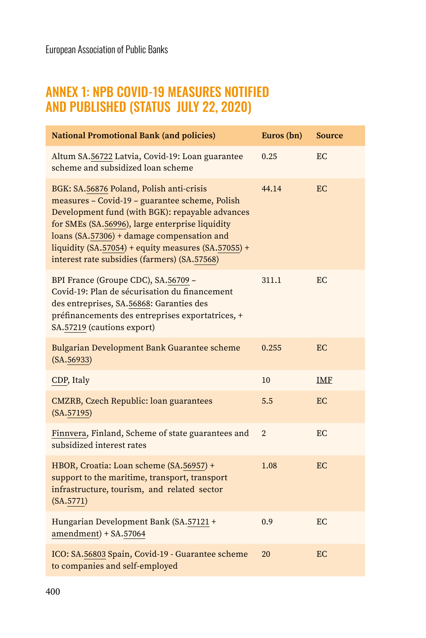### ANNEX 1: NPB COVID-19 MEASURES NOTIFIED AND PUBLISHED (STATUS JULY 22, 2020)

| <b>National Promotional Bank (and policies)</b>                                                                                                                                                                                                                                                                                                       | Euros (bn)     | <b>Source</b> |
|-------------------------------------------------------------------------------------------------------------------------------------------------------------------------------------------------------------------------------------------------------------------------------------------------------------------------------------------------------|----------------|---------------|
| Altum SA.56722 Latvia, Covid-19: Loan guarantee<br>scheme and subsidized loan scheme                                                                                                                                                                                                                                                                  | 0.25           | EC            |
| BGK: SA.56876 Poland, Polish anti-crisis<br>measures - Covid-19 - guarantee scheme, Polish<br>Development fund (with BGK): repayable advances<br>for SMEs (SA.56996), large enterprise liquidity<br>loans (SA.57306) + damage compensation and<br>liquidity (SA.57054) + equity measures (SA.57055) +<br>interest rate subsidies (farmers) (SA.57568) | 44.14          | EC            |
| BPI France (Groupe CDC), SA.56709 -<br>Covid-19: Plan de sécurisation du financement<br>des entreprises, SA.56868: Garanties des<br>préfinancements des entreprises exportatrices, +<br>SA.57219 (cautions export)                                                                                                                                    | 311.1          | EC.           |
| Bulgarian Development Bank Guarantee scheme<br>(SA.56933)                                                                                                                                                                                                                                                                                             | 0.255          | EC            |
| CDP, Italy                                                                                                                                                                                                                                                                                                                                            | 10             | <b>IMF</b>    |
| <b>CMZRB, Czech Republic: loan guarantees</b><br>(SA.57195)                                                                                                                                                                                                                                                                                           | 5.5            | EC            |
| Finnvera, Finland, Scheme of state guarantees and<br>subsidized interest rates                                                                                                                                                                                                                                                                        | $\overline{2}$ | EC            |
| HBOR, Croatia: Loan scheme (SA.56957) +<br>support to the maritime, transport, transport<br>infrastructure, tourism, and related sector<br>(SA.5771)                                                                                                                                                                                                  | 1.08           | EC            |
| Hungarian Development Bank (SA.57121 +<br>$amendment$ ) + SA.57064                                                                                                                                                                                                                                                                                    | 0.9            | EC            |
| ICO: SA.56803 Spain, Covid-19 - Guarantee scheme<br>to companies and self-employed                                                                                                                                                                                                                                                                    | 20             | EC            |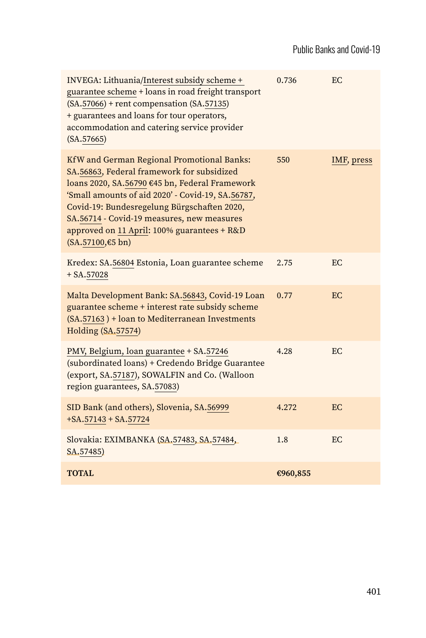| INVEGA: Lithuania/Interest subsidy scheme +<br>guarantee scheme + loans in road freight transport<br>$(SA.57066)$ + rent compensation $(SA.57135)$<br>+ guarantees and loans for tour operators,<br>accommodation and catering service provider<br>(SA.57665)                                                                                                    | 0.736    | EC.        |
|------------------------------------------------------------------------------------------------------------------------------------------------------------------------------------------------------------------------------------------------------------------------------------------------------------------------------------------------------------------|----------|------------|
| KfW and German Regional Promotional Banks:<br>SA.56863, Federal framework for subsidized<br>loans 2020, SA.56790 €45 bn, Federal Framework<br>'Small amounts of aid 2020' - Covid-19, SA.56787,<br>Covid-19: Bundesregelung Bürgschaften 2020,<br>SA.56714 - Covid-19 measures, new measures<br>approved on 11 April: 100% guarantees + R&D<br>(SA.57100, €5 bn) | 550      | IMF, press |
| Kredex: SA.56804 Estonia, Loan guarantee scheme<br>$+ SA.57028$                                                                                                                                                                                                                                                                                                  | 2.75     | EC.        |
| Malta Development Bank: SA.56843, Covid-19 Loan<br>guarantee scheme + interest rate subsidy scheme<br>(SA.57163) + loan to Mediterranean Investments<br><b>Holding (SA.57574)</b>                                                                                                                                                                                | 0.77     | EC         |
| PMV, Belgium, loan guarantee + SA.57246<br>(subordinated loans) + Credendo Bridge Guarantee<br>(export, SA.57187), SOWALFIN and Co. (Walloon<br>region guarantees, SA.57083)                                                                                                                                                                                     | 4.28     | EC.        |
| SID Bank (and others), Slovenia, SA.56999<br>$+SA.57143 + SA.57724$                                                                                                                                                                                                                                                                                              | 4.272    | EC         |
| Slovakia: EXIMBANKA (SA.57483, SA.57484,<br>SA.57485)                                                                                                                                                                                                                                                                                                            | 1.8      | EC.        |
| <b>TOTAL</b>                                                                                                                                                                                                                                                                                                                                                     | €960,855 |            |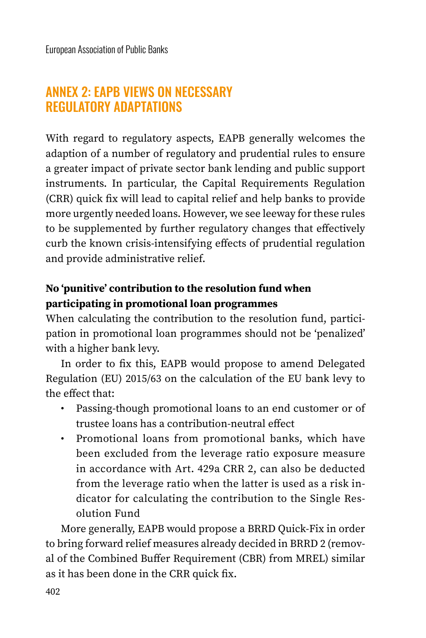## ANNEX 2: EAPB VIEWS ON NECESSARY REGULATORY ADAPTATIONS

With regard to regulatory aspects, EAPB generally welcomes the adaption of a number of regulatory and prudential rules to ensure a greater impact of private sector bank lending and public support instruments. In particular, the Capital Requirements Regulation (CRR) quick fix will lead to capital relief and help banks to provide more urgently needed loans. However, we see leeway for these rules to be supplemented by further regulatory changes that effectively curb the known crisis-intensifying effects of prudential regulation and provide administrative relief.

### **No 'punitive' contribution to the resolution fund when participating in promotional loan programmes**

When calculating the contribution to the resolution fund, participation in promotional loan programmes should not be 'penalized' with a higher bank levy.

In order to fix this, EAPB would propose to amend Delegated Regulation (EU) 2015/63 on the calculation of the EU bank levy to the effect that:

- Passing-though promotional loans to an end customer or of trustee loans has a contribution-neutral effect
- Promotional loans from promotional banks, which have been excluded from the leverage ratio exposure measure in accordance with Art. 429a CRR 2, can also be deducted from the leverage ratio when the latter is used as a risk indicator for calculating the contribution to the Single Resolution Fund

More generally, EAPB would propose a BRRD Quick-Fix in order to bring forward relief measures already decided in BRRD 2 (removal of the Combined Buffer Requirement (CBR) from MREL) similar as it has been done in the CRR quick fix.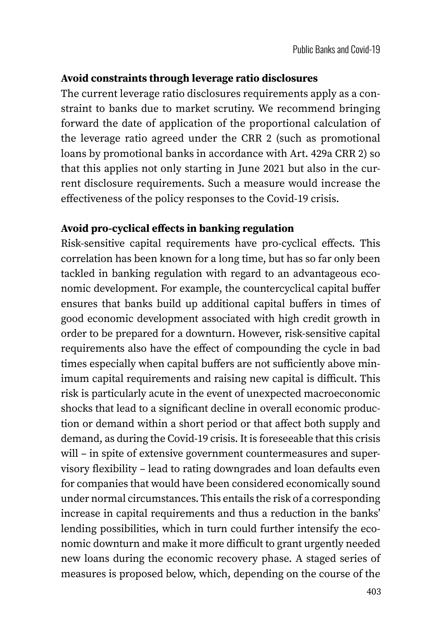### **Avoid constraints through leverage ratio disclosures**

The current leverage ratio disclosures requirements apply as a constraint to banks due to market scrutiny. We recommend bringing forward the date of application of the proportional calculation of the leverage ratio agreed under the CRR 2 (such as promotional loans by promotional banks in accordance with Art. 429a CRR 2) so that this applies not only starting in June 2021 but also in the current disclosure requirements. Such a measure would increase the effectiveness of the policy responses to the Covid-19 crisis.

#### **Avoid pro-cyclical effects in banking regulation**

Risk-sensitive capital requirements have pro-cyclical effects. This correlation has been known for a long time, but has so far only been tackled in banking regulation with regard to an advantageous economic development. For example, the countercyclical capital buffer ensures that banks build up additional capital buffers in times of good economic development associated with high credit growth in order to be prepared for a downturn. However, risk-sensitive capital requirements also have the effect of compounding the cycle in bad times especially when capital buffers are not sufficiently above minimum capital requirements and raising new capital is difficult. This risk is particularly acute in the event of unexpected macroeconomic shocks that lead to a significant decline in overall economic production or demand within a short period or that affect both supply and demand, as during the Covid-19 crisis. It is foreseeable that this crisis will – in spite of extensive government countermeasures and supervisory flexibility – lead to rating downgrades and loan defaults even for companies that would have been considered economically sound under normal circumstances. This entails the risk of a corresponding increase in capital requirements and thus a reduction in the banks' lending possibilities, which in turn could further intensify the economic downturn and make it more difficult to grant urgently needed new loans during the economic recovery phase. A staged series of measures is proposed below, which, depending on the course of the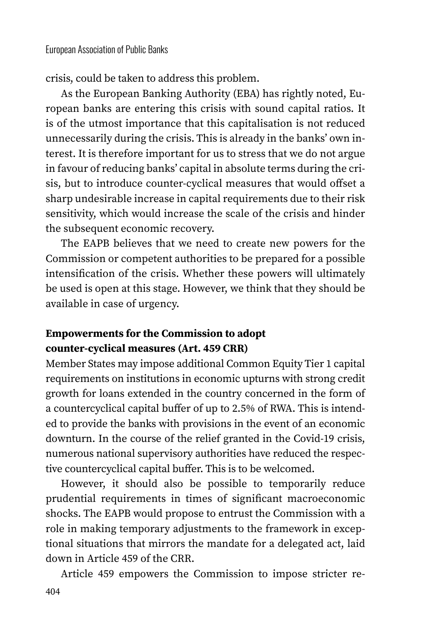crisis, could be taken to address this problem.

As the European Banking Authority (EBA) has rightly noted, European banks are entering this crisis with sound capital ratios. It is of the utmost importance that this capitalisation is not reduced unnecessarily during the crisis. This is already in the banks' own interest. It is therefore important for us to stress that we do not argue in favour of reducing banks' capital in absolute terms during the crisis, but to introduce counter-cyclical measures that would offset a sharp undesirable increase in capital requirements due to their risk sensitivity, which would increase the scale of the crisis and hinder the subsequent economic recovery.

The EAPB believes that we need to create new powers for the Commission or competent authorities to be prepared for a possible intensification of the crisis. Whether these powers will ultimately be used is open at this stage. However, we think that they should be available in case of urgency.

#### **Empowerments for the Commission to adopt counter-cyclical measures (Art. 459 CRR)**

Member States may impose additional Common Equity Tier 1 capital requirements on institutions in economic upturns with strong credit growth for loans extended in the country concerned in the form of a countercyclical capital buffer of up to 2.5% of RWA. This is intended to provide the banks with provisions in the event of an economic downturn. In the course of the relief granted in the Covid-19 crisis, numerous national supervisory authorities have reduced the respective countercyclical capital buffer. This is to be welcomed.

However, it should also be possible to temporarily reduce prudential requirements in times of significant macroeconomic shocks. The EAPB would propose to entrust the Commission with a role in making temporary adjustments to the framework in exceptional situations that mirrors the mandate for a delegated act, laid down in Article 459 of the CRR.

Article 459 empowers the Commission to impose stricter re-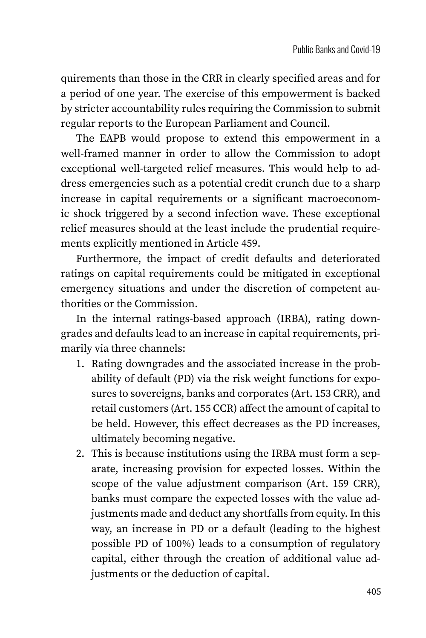quirements than those in the CRR in clearly specified areas and for a period of one year. The exercise of this empowerment is backed by stricter accountability rules requiring the Commission to submit regular reports to the European Parliament and Council.

The EAPB would propose to extend this empowerment in a well-framed manner in order to allow the Commission to adopt exceptional well-targeted relief measures. This would help to address emergencies such as a potential credit crunch due to a sharp increase in capital requirements or a significant macroeconomic shock triggered by a second infection wave. These exceptional relief measures should at the least include the prudential requirements explicitly mentioned in Article 459.

Furthermore, the impact of credit defaults and deteriorated ratings on capital requirements could be mitigated in exceptional emergency situations and under the discretion of competent authorities or the Commission.

In the internal ratings-based approach (IRBA), rating downgrades and defaults lead to an increase in capital requirements, primarily via three channels:

- 1. Rating downgrades and the associated increase in the probability of default (PD) via the risk weight functions for exposures to sovereigns, banks and corporates (Art. 153 CRR), and retail customers (Art. 155 CCR) affect the amount of capital to be held. However, this effect decreases as the PD increases, ultimately becoming negative.
- 2. This is because institutions using the IRBA must form a separate, increasing provision for expected losses. Within the scope of the value adjustment comparison (Art. 159 CRR), banks must compare the expected losses with the value adjustments made and deduct any shortfalls from equity. In this way, an increase in PD or a default (leading to the highest possible PD of 100%) leads to a consumption of regulatory capital, either through the creation of additional value adjustments or the deduction of capital.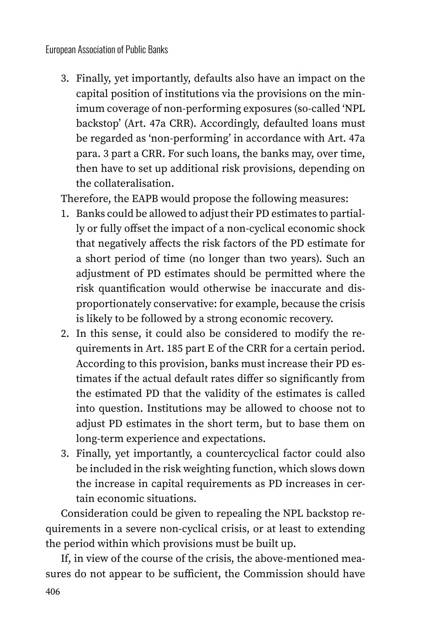3. Finally, yet importantly, defaults also have an impact on the capital position of institutions via the provisions on the minimum coverage of non-performing exposures (so-called 'NPL backstop' (Art. 47a CRR). Accordingly, defaulted loans must be regarded as 'non-performing' in accordance with Art. 47a para. 3 part a CRR. For such loans, the banks may, over time, then have to set up additional risk provisions, depending on the collateralisation.

Therefore, the EAPB would propose the following measures:

- 1. Banks could be allowed to adjust their PD estimates to partially or fully offset the impact of a non-cyclical economic shock that negatively affects the risk factors of the PD estimate for a short period of time (no longer than two years). Such an adjustment of PD estimates should be permitted where the risk quantification would otherwise be inaccurate and disproportionately conservative: for example, because the crisis is likely to be followed by a strong economic recovery.
- 2. In this sense, it could also be considered to modify the requirements in Art. 185 part E of the CRR for a certain period. According to this provision, banks must increase their PD estimates if the actual default rates differ so significantly from the estimated PD that the validity of the estimates is called into question. Institutions may be allowed to choose not to adjust PD estimates in the short term, but to base them on long-term experience and expectations.
- 3. Finally, yet importantly, a countercyclical factor could also be included in the risk weighting function, which slows down the increase in capital requirements as PD increases in certain economic situations.

Consideration could be given to repealing the NPL backstop requirements in a severe non-cyclical crisis, or at least to extending the period within which provisions must be built up.

If, in view of the course of the crisis, the above-mentioned measures do not appear to be sufficient, the Commission should have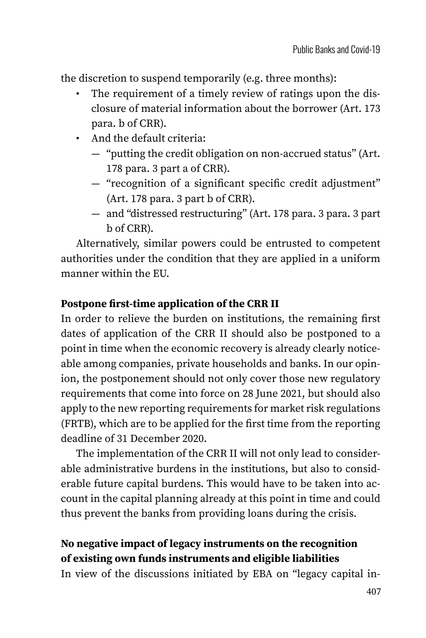the discretion to suspend temporarily (e.g. three months):

- The requirement of a timely review of ratings upon the disclosure of material information about the borrower (Art. 173 para. b of CRR).
- And the default criteria:
	- "putting the credit obligation on non-accrued status" (Art. 178 para. 3 part a of CRR).
	- "recognition of a significant specific credit adjustment" (Art. 178 para. 3 part b of CRR).
	- and "distressed restructuring" (Art. 178 para. 3 para. 3 part b of CRR).

Alternatively, similar powers could be entrusted to competent authorities under the condition that they are applied in a uniform manner within the EU.

#### **Postpone first-time application of the CRR II**

In order to relieve the burden on institutions, the remaining first dates of application of the CRR II should also be postponed to a point in time when the economic recovery is already clearly noticeable among companies, private households and banks. In our opinion, the postponement should not only cover those new regulatory requirements that come into force on 28 June 2021, but should also apply to the new reporting requirements for market risk regulations (FRTB), which are to be applied for the first time from the reporting deadline of 31 December 2020.

The implementation of the CRR II will not only lead to considerable administrative burdens in the institutions, but also to considerable future capital burdens. This would have to be taken into account in the capital planning already at this point in time and could thus prevent the banks from providing loans during the crisis.

### **No negative impact of legacy instruments on the recognition of existing own funds instruments and eligible liabilities**

In view of the discussions initiated by EBA on "legacy capital in-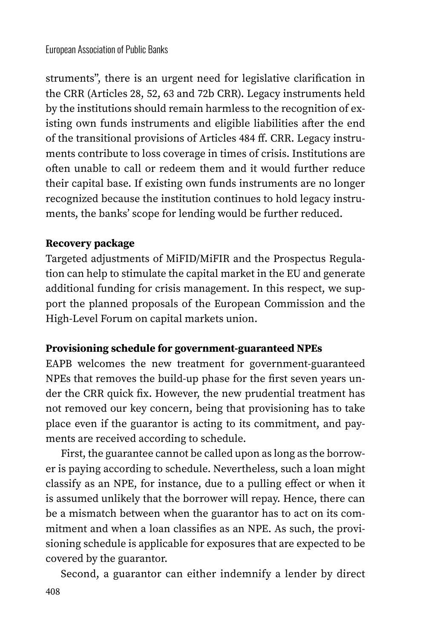struments", there is an urgent need for legislative clarification in the CRR (Articles 28, 52, 63 and 72b CRR). Legacy instruments held by the institutions should remain harmless to the recognition of existing own funds instruments and eligible liabilities after the end of the transitional provisions of Articles 484 ff. CRR. Legacy instruments contribute to loss coverage in times of crisis. Institutions are often unable to call or redeem them and it would further reduce their capital base. If existing own funds instruments are no longer recognized because the institution continues to hold legacy instruments, the banks' scope for lending would be further reduced.

### **Recovery package**

Targeted adjustments of MiFID/MiFIR and the Prospectus Regulation can help to stimulate the capital market in the EU and generate additional funding for crisis management. In this respect, we support the planned proposals of the European Commission and the High-Level Forum on capital markets union.

### **Provisioning schedule for government-guaranteed NPEs**

EAPB welcomes the new treatment for government-guaranteed NPEs that removes the build-up phase for the first seven years under the CRR quick fix. However, the new prudential treatment has not removed our key concern, being that provisioning has to take place even if the guarantor is acting to its commitment, and payments are received according to schedule.

First, the guarantee cannot be called upon as long as the borrower is paying according to schedule. Nevertheless, such a loan might classify as an NPE, for instance, due to a pulling effect or when it is assumed unlikely that the borrower will repay. Hence, there can be a mismatch between when the guarantor has to act on its commitment and when a loan classifies as an NPE. As such, the provisioning schedule is applicable for exposures that are expected to be covered by the guarantor.

Second, a guarantor can either indemnify a lender by direct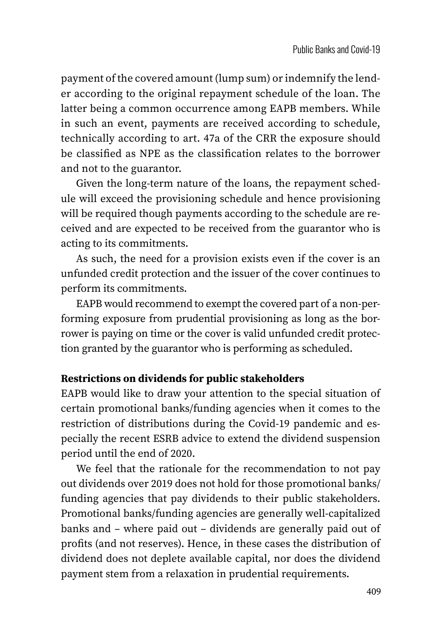payment of the covered amount (lump sum) or indemnify the lender according to the original repayment schedule of the loan. The latter being a common occurrence among EAPB members. While in such an event, payments are received according to schedule, technically according to art. 47a of the CRR the exposure should be classified as NPE as the classification relates to the borrower and not to the guarantor.

Given the long-term nature of the loans, the repayment schedule will exceed the provisioning schedule and hence provisioning will be required though payments according to the schedule are received and are expected to be received from the guarantor who is acting to its commitments.

As such, the need for a provision exists even if the cover is an unfunded credit protection and the issuer of the cover continues to perform its commitments.

EAPB would recommend to exempt the covered part of a non-performing exposure from prudential provisioning as long as the borrower is paying on time or the cover is valid unfunded credit protection granted by the guarantor who is performing as scheduled.

#### **Restrictions on dividends for public stakeholders**

EAPB would like to draw your attention to the special situation of certain promotional banks/funding agencies when it comes to the restriction of distributions during the Covid-19 pandemic and especially the recent ESRB advice to extend the dividend suspension period until the end of 2020.

We feel that the rationale for the recommendation to not pay out dividends over 2019 does not hold for those promotional banks/ funding agencies that pay dividends to their public stakeholders. Promotional banks/funding agencies are generally well-capitalized banks and – where paid out – dividends are generally paid out of profits (and not reserves). Hence, in these cases the distribution of dividend does not deplete available capital, nor does the dividend payment stem from a relaxation in prudential requirements.